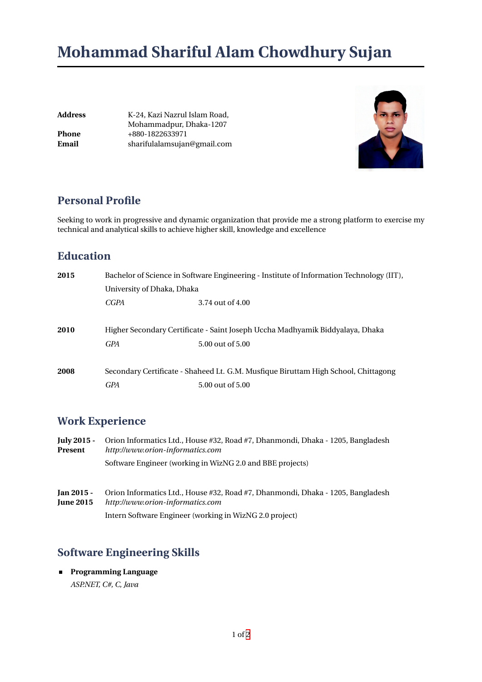# **Mohammad Shariful Alam Chowdhury Sujan**

**Address** K-24, Kazi Nazrul Islam Road, Mohammadpur, Dhaka-1207 **Phone** +880-1822633971 **Email** sharifulalamsujan@gmail.com



### **Personal Profile**

Seeking to work in progressive and dynamic organization that provide me a strong platform to exercise my technical and analytical skills to achieve higher skill, knowledge and excellence

## **Education**

| 2015 | Bachelor of Science in Software Engineering - Institute of Information Technology (IIT),<br>University of Dhaka, Dhaka |                  |  |
|------|------------------------------------------------------------------------------------------------------------------------|------------------|--|
|      |                                                                                                                        |                  |  |
|      | CGPA                                                                                                                   | 3.74 out of 4.00 |  |
|      |                                                                                                                        |                  |  |
| 2010 | Higher Secondary Certificate - Saint Joseph Uccha Madhyamik Biddyalaya, Dhaka                                          |                  |  |
|      | <b>GPA</b>                                                                                                             | 5.00 out of 5.00 |  |
| 2008 | Secondary Certificate - Shaheed Lt. G.M. Musfique Biruttam High School, Chittagong                                     |                  |  |
|      | GPA                                                                                                                    | 5.00 out of 5.00 |  |

## **Work Experience**

| July 2015 -<br>Present         | Orion Informatics Ltd., House #32, Road #7, Dhanmondi, Dhaka - 1205, Bangladesh<br>http://www.orion-informatics.com<br>Software Engineer (working in WizNG 2.0 and BBE projects) |  |  |
|--------------------------------|----------------------------------------------------------------------------------------------------------------------------------------------------------------------------------|--|--|
|                                |                                                                                                                                                                                  |  |  |
|                                |                                                                                                                                                                                  |  |  |
| Jan 2015 -<br><b>June 2015</b> | Orion Informatics Ltd., House #32, Road #7, Dhanmondi, Dhaka - 1205, Bangladesh<br>http://www.orion-informatics.com                                                              |  |  |
|                                | Intern Software Engineer (working in WizNG 2.0 project)                                                                                                                          |  |  |

# **Software Engineering Skills**

**Programming Language** *ASP.NET, C#, C, Java*